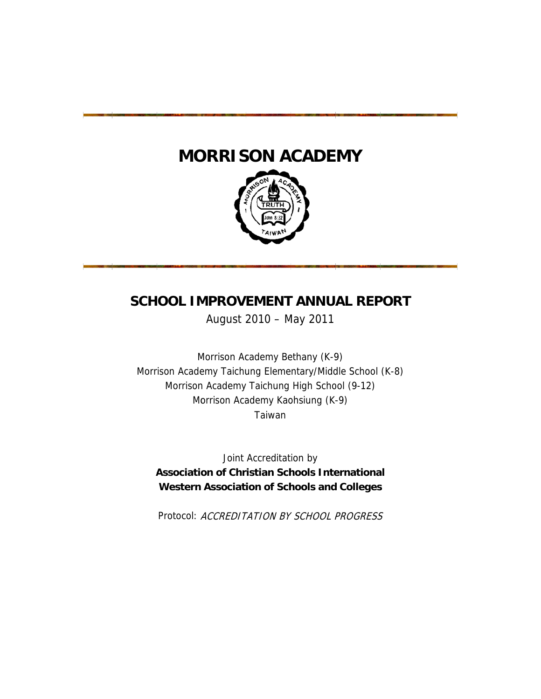# **MORRISON ACADEMY**



# SCHOOL IMPROVEMENT ANNUAL REPORT

August 2 2010 – M May 2011

Morrison Academy Taichung Elementary/Middle School (K-8) Morrison Academy Bethany (K-9) Morrison Academy Taichung High School (9-12) Morrison Academy Kaohsiung (K-9) Taiwan

**Association of Christian Schools International Western Association of Schools and Colleges** Joint Accreditat ion by

Protocol: ACCREDITATION BY SCHOOL PROGRESS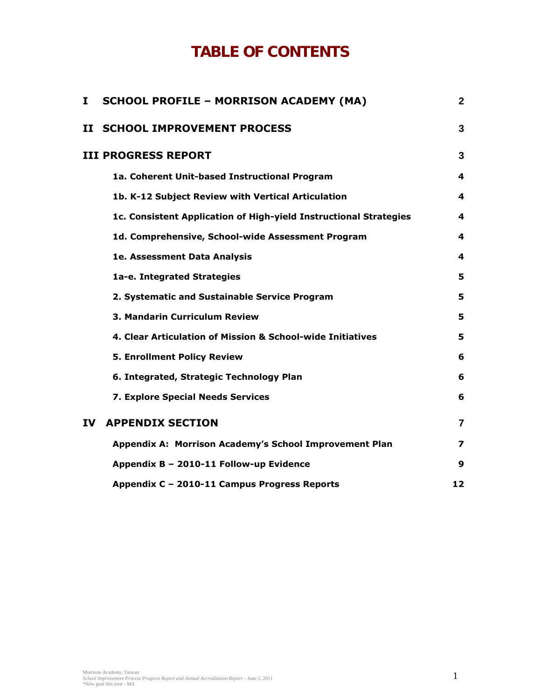# **TABLE OF CONTENTS**

| I   | <b>SCHOOL PROFILE - MORRISON ACADEMY (MA)</b>                     | $\mathbf{2}$   |
|-----|-------------------------------------------------------------------|----------------|
| п   | <b>SCHOOL IMPROVEMENT PROCESS</b>                                 | 3              |
|     | <b>III PROGRESS REPORT</b>                                        | 3              |
|     | 1a. Coherent Unit-based Instructional Program                     | 4              |
|     | 1b. K-12 Subject Review with Vertical Articulation                | 4              |
|     | 1c. Consistent Application of High-yield Instructional Strategies | 4              |
|     | 1d. Comprehensive, School-wide Assessment Program                 | 4              |
|     | 1e. Assessment Data Analysis                                      | 4              |
|     | 1a-e. Integrated Strategies                                       | 5              |
|     | 2. Systematic and Sustainable Service Program                     | 5              |
|     | 3. Mandarin Curriculum Review                                     | 5              |
|     | 4. Clear Articulation of Mission & School-wide Initiatives        | 5              |
|     | <b>5. Enrollment Policy Review</b>                                | 6              |
|     | 6. Integrated, Strategic Technology Plan                          | 6              |
|     | 7. Explore Special Needs Services                                 | 6              |
| IV. | <b>APPENDIX SECTION</b>                                           | $\overline{7}$ |
|     | Appendix A: Morrison Academy's School Improvement Plan            | 7              |
|     | Appendix B - 2010-11 Follow-up Evidence                           | 9              |
|     | Appendix C - 2010-11 Campus Progress Reports                      | 12             |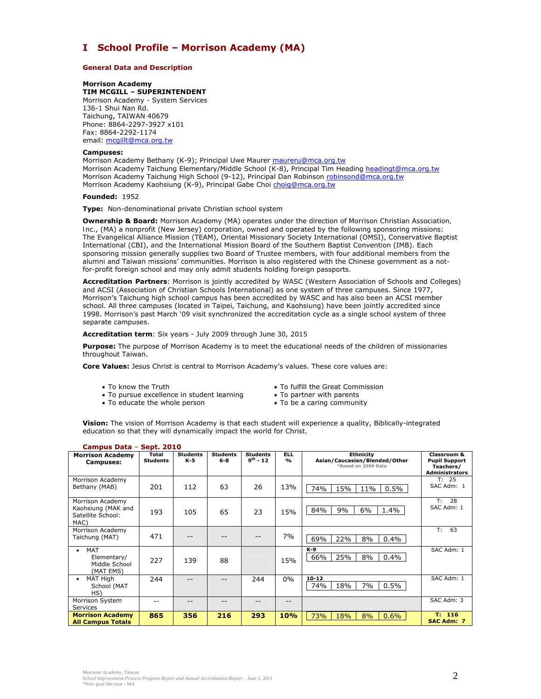# **I School Profile – Morrison Academy (MA)**

#### **General Data and Description**

#### **Morrison Academy**

**TIM MCGILL – SUPERINTENDENT**  Morrison Academy - System Services 136-1 Shui Nan Rd. Taichung, TAIWAN 40679 Phone: 8864-2297-3927 x101 Fax: 8864-2292-1174 email: mcgillt@mca.org.tw

#### **Campuses:**

Morrison Academy Bethany (K-9); Principal Uwe Maurer maureru@mca.org.tw Morrison Academy Taichung Elementary/Middle School (K-8), Principal Tim Heading headingt@mca.org.tw Morrison Academy Taichung High School (9-12), Principal Dan Robinson robinsond@mca.org.tw Morrison Academy Kaohsiung (K-9), Principal Gabe Choi choig@mca.org.tw

#### **Founded:** 1952

**Type:** Non-denominational private Christian school system

**Ownership & Board:** Morrison Academy (MA) operates under the direction of *Morrison Christian Association, Inc*., (MA) a nonprofit (New Jersey) corporation, owned and operated by the following sponsoring missions: The Evangelical Alliance Mission (TEAM), Oriental Missionary Society International (OMSI), Conservative Baptist International (CBI), and the International Mission Board of the Southern Baptist Convention (IMB). Each sponsoring mission generally supplies two Board of Trustee members, with four additional members from the alumni and Taiwan missions' communities. Morrison is also registered with the Chinese government as a notfor-profit foreign school and may only admit students holding foreign passports.

**Accreditation Partners**: Morrison is jointly accredited by WASC (Western Association of Schools and Colleges) and ACSI (Association of Christian Schools International) as one system of three campuses. Since 1977, Morrison's Taichung high school campus has been accredited by WASC and has also been an ACSI member school. All three campuses (located in Taipei, Taichung, and Kaohsiung) have been jointly accredited since 1998. Morrison's past March '09 visit synchronized the accreditation cycle as a single school system of three separate campuses.

**Accreditation term**: Six years - July 2009 through June 30, 2015

**Purpose:** The purpose of Morrison Academy is to meet the educational needs of the children of missionaries throughout Taiwan.

**Core Values:** Jesus Christ is central to Morrison Academy's values. These core values are:

- 
- To know the Truth **Truth To fulfill the Great Commission**<br>• To pursue excellence in student learning To partner with parents  $\bullet$  To pursue excellence in student learning
- To educate the whole person To be a caring community
- 
- -

**Vision:** The vision of Morrison Academy is that each student will experience a quality, Biblically-integrated education so that they will dynamically impact the world for Christ.

| Campus Data -                                                       | <b>Sept. 2010</b>        |                          |                          |                                  |                                       |                                                                          |                                                                           |  |  |
|---------------------------------------------------------------------|--------------------------|--------------------------|--------------------------|----------------------------------|---------------------------------------|--------------------------------------------------------------------------|---------------------------------------------------------------------------|--|--|
| <b>Morrison Academy</b><br><b>Campuses:</b>                         | Total<br><b>Students</b> | <b>Students</b><br>$K-5$ | <b>Students</b><br>$6-8$ | <b>Students</b><br>$9^{th} - 12$ | <b>ELL</b><br>$\mathbf{O}/\mathbf{O}$ | <b>Ethnicity</b><br>Asian/Caucasian/Blended/Other<br>*Based on 2009 Data | Classroom &<br><b>Pupil Support</b><br>Teachers/<br><b>Administrators</b> |  |  |
| Morrison Academy<br>Bethany (MAB)                                   | 201                      | 112                      | 63                       | 26                               | 13%                                   | 15%<br>0.5%<br>11%<br>74%                                                | T: 25<br>SAC Adm: 1                                                       |  |  |
| Morrison Academy<br>Kaohsiung (MAK and<br>Satellite School:<br>MAC) | 193                      | 105                      | 65                       | 23                               | 15%                                   | 84%<br>9%<br>6%<br>1.4%                                                  | 28<br>T:<br>SAC Adm: 1                                                    |  |  |
| Morrison Academy<br>Taichung (MAT)                                  | 471                      |                          |                          |                                  | 7%                                    | 69%<br>22%<br>8%<br>$0.4\%$                                              | T:<br>63                                                                  |  |  |
| MAT<br>Elementary/<br>Middle School<br>(MAT EMS)                    | 227                      | 139                      | 88                       |                                  | 15%                                   | $K-9$<br>25%<br>8%<br>66%<br>$0.4\%$                                     | SAC Adm: 1                                                                |  |  |
| MAT High<br>School (MAT<br>HS)                                      | 244                      |                          |                          | 244                              | $0\%$                                 | $10 - 12$<br>74%<br>18%<br>7%<br>0.5%                                    | SAC Adm: 1                                                                |  |  |
| Morrison System<br>Services                                         | --                       |                          |                          |                                  | --                                    |                                                                          | SAC Adm: 3                                                                |  |  |
| <b>Morrison Academy</b><br><b>All Campus Totals</b>                 | 865                      | 356                      | 216                      | 293                              | 10%                                   | 73%<br>18%<br>8%<br>0.6%                                                 | 116<br>T: I<br><b>SAC Adm: 7</b>                                          |  |  |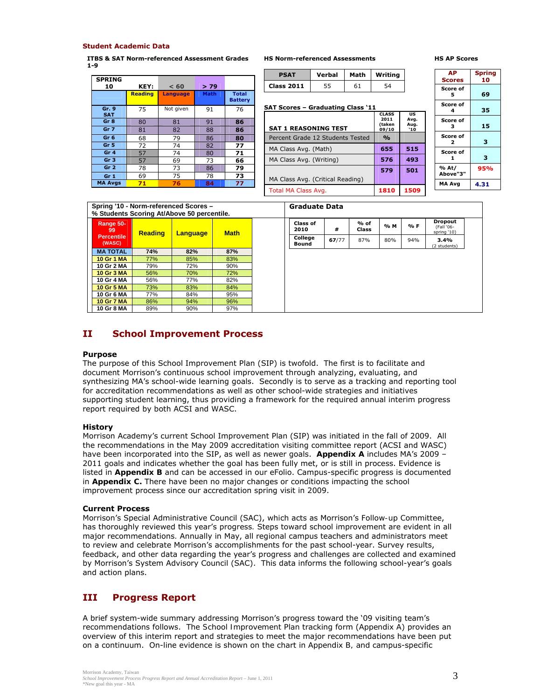#### **Student Academic Data**

**ITBS & SAT Norm-referenced Assessment Grades 1-9** 

| <b>SPRING</b><br>10 | KEY:           | < 60            | >79         |                                |
|---------------------|----------------|-----------------|-------------|--------------------------------|
|                     | <b>Reading</b> | <b>Language</b> | <b>Math</b> | <b>Total</b><br><b>Battery</b> |
| Gr. 9<br><b>SAT</b> | 75             | Not given       | 91          | 76                             |
| Gr 8                | 80             | 81              | 91          | 86                             |
| Gr <sub>7</sub>     | 81             | 82              | 88          | 86                             |
| Gr <sub>6</sub>     | 68             | 79              | 86          | 80                             |
| Gr <sub>5</sub>     | 72             | 74              | 82          | 77                             |
| Gr <sub>4</sub>     | 57             | 74              | 80          | 71                             |
| Gr <sub>3</sub>     | 57             | 69              | 73          | 66                             |
| Gr <sub>2</sub>     | 78             | 73              | 86          | 79                             |
| Gr <sub>1</sub>     | 69             | 75              | 78          | 73                             |
| <b>MA Avgs</b>      | 71             | 76              | 84          | 77                             |

**PSAT Verbal Math Writing Class 2011** 55 61 54

**HS Norm-referenced Assessments** 

**SAT Scores – Graduating Class '11** 

#### **HS AP Scores**

| <b>PSAT</b>                      | Verbal | Math | Writing                                 |                                  | AP.<br><b>Scores</b> | <b>Spring</b><br>10 |  |
|----------------------------------|--------|------|-----------------------------------------|----------------------------------|----------------------|---------------------|--|
| Class 2011                       | 55     | 61   | 54                                      |                                  | Score of             |                     |  |
|                                  |        |      |                                         |                                  | 5                    | 69                  |  |
| AT Scores - Graduating Class '11 |        |      |                                         |                                  | Score of<br>4        | 35                  |  |
| SAT 1 REASONING TEST             |        |      | <b>CLASS</b><br>2011<br>(taken<br>09/10 | <b>US</b><br>Avg.<br>Aug.<br>`10 | Score of<br>з        | 15                  |  |
| Percent Grade 12 Students Tested |        |      | $\frac{0}{\alpha}$                      |                                  | Score of<br>2        | 3                   |  |
| MA Class Avg. (Math)             | 655    | 515  | Score of                                |                                  |                      |                     |  |
| MA Class Avg. (Writing)          |        |      | 576                                     | 493                              | 1                    | з                   |  |
|                                  |        |      | 579                                     | 501                              | % At/<br>Above"3"    | 95%                 |  |
| MA Class Avg. (Critical Reading) |        |      |                                         |                                  | <b>MA Avg</b>        | 4.31                |  |
| Total MA Class Avg.              |        |      | 1810                                    | 1509                             |                      |                     |  |

| Spring '10 - Norm-referenced Scores - |  |  |
|---------------------------------------|--|--|
| 0/ Printed Personal Atlanta FO person |  |  |

| % Students Scoring At/Above 50 percentile.     |                |          |             |  |  |  |
|------------------------------------------------|----------------|----------|-------------|--|--|--|
| Range 50-<br>99<br><b>Percentile</b><br>(WASC) | <b>Reading</b> | Language | <b>Math</b> |  |  |  |
| <b>MA TOTAL</b>                                | 74%            | 82%      | 87%         |  |  |  |
| 10 Gr 1 MA                                     | 77%            | 85%      | 83%         |  |  |  |
| 10 Gr 2 MA                                     | 79%            | 72%      | 90%         |  |  |  |
| 10 Gr 3 MA                                     | 56%            | 70%      | 72%         |  |  |  |
| 10 Gr 4 MA                                     | 56%            | 77%      | 82%         |  |  |  |
| <b>10 Gr 5 MA</b>                              | 73%            | 83%      | 84%         |  |  |  |
| 10 Gr 6 MA                                     | 77%            | 84%      | 95%         |  |  |  |
| <b>10 Gr 7 MA</b>                              | 86%            | 94%      | 96%         |  |  |  |
| 10 Gr 8 MA                                     | 89%            | 90%      | 97%         |  |  |  |

| <b>Graduate Data</b>    |       |                        |     |     |                                             |
|-------------------------|-------|------------------------|-----|-----|---------------------------------------------|
| <b>Class of</b><br>2010 | #     | $%$ of<br><b>Class</b> | % M | % F | <b>Dropout</b><br>(Fall '06-<br>spring '10) |
| College<br><b>Bound</b> | 67/77 | 87%                    | 80% | 94% | 3.4%<br>(2 students)                        |

# **II School Improvement Process**

#### **Purpose**

The purpose of this School Improvement Plan (SIP) is twofold. The first is to facilitate and document Morrison's continuous school improvement through analyzing, evaluating, and synthesizing MA's school-wide learning goals. Secondly is to serve as a tracking and reporting tool for accreditation recommendations as well as other school-wide strategies and initiatives supporting student learning, thus providing a framework for the required annual interim progress report required by both ACSI and WASC.

#### **History**

Morrison Academy's current School Improvement Plan (SIP) was initiated in the fall of 2009. All the recommendations in the May 2009 accreditation visiting committee report (ACSI and WASC) have been incorporated into the SIP, as well as newer goals. *Appendix A* includes MA's 2009 – 2011 goals and indicates whether the goal has been fully met, or is still in process. Evidence is listed in *Appendix B* and can be accessed in our eFolio. Campus-specific progress is documented in *Appendix C.* There have been no major changes or conditions impacting the school improvement process since our accreditation spring visit in 2009.

# **Current Process**

Morrison's Special Administrative Council (SAC), which acts as Morrison's *Follow-up Committee*, has thoroughly reviewed this year's progress*.* Steps toward school improvement are evident in all major recommendations*.* Annually in May, all regional campus teachers and administrators meet to review and celebrate Morrison's accomplishments for the past school-year. Survey results, feedback, and other data regarding the year's progress and challenges are collected and examined by Morrison's System Advisory Council (SAC). This data informs the following school-year's goals and action plans.

# **III Progress Report**

A brief system-wide summary addressing Morrison's progress toward the '09 visiting team's recommendations follows. The *School Improvement Plan* tracking form (*Appendix A*) provides an overview of this interim report and strategies to meet the major recommendations have been put on a continuum. On-line evidence is shown on the chart in *Appendix B, and* campus-specific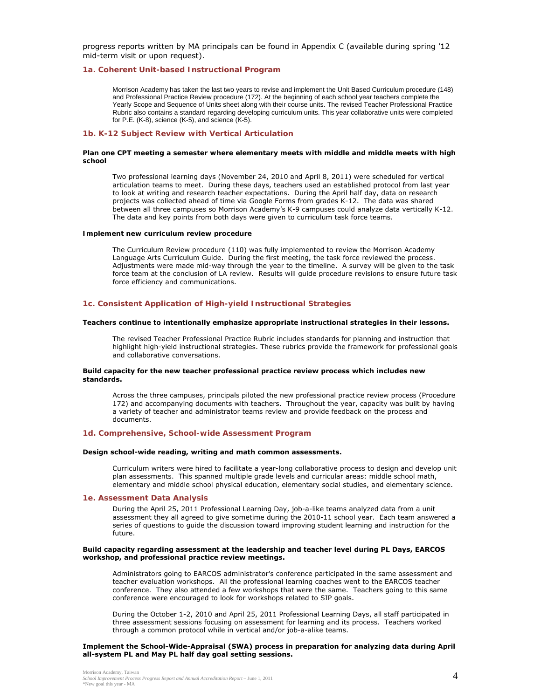progress reports written by MA principals can be found in *Appendix C* (available during spring '12 mid-term visit or upon request).

#### *1a. Coherent Unit-based Instructional Program*

Morrison Academy has taken the last two years to revise and implement the Unit Based Curriculum procedure (148) and Professional Practice Review procedure (172). At the beginning of each school year teachers complete the Yearly Scope and Sequence of Units sheet along with their course units. The revised Teacher Professional Practice Rubric also contains a standard regarding developing curriculum units. This year collaborative units were completed for P.E. (K-8), science (K-5), and science (K-5).

#### *1b. K-12 Subject Review with Vertical Articulation*

#### *Plan one CPT meeting a semester where elementary meets with middle and middle meets with high school*

Two professional learning days (November 24, 2010 and April 8, 2011) were scheduled for vertical articulation teams to meet. During these days, teachers used an established protocol from last year to look at writing and research teacher expectations. During the April half day, data on research projects was collected ahead of time via Google Forms from grades K-12. The data was shared between all three campuses so Morrison Academy's K-9 campuses could analyze data vertically K-12. The data and key points from both days were given to curriculum task force teams.

#### *Implement new curriculum review procedure*

The Curriculum Review procedure (110) was fully implemented to review the Morrison Academy Language Arts Curriculum Guide. During the first meeting, the task force reviewed the process. Adjustments were made mid-way through the year to the timeline. A survey will be given to the task force team at the conclusion of LA review. Results will guide procedure revisions to ensure future task force efficiency and communications.

#### *1c. Consistent Application of High-yield Instructional Strategies*

#### **Teachers continue to intentionally emphasize appropriate instructional strategies in their lessons.**

The revised Teacher Professional Practice Rubric includes standards for planning and instruction that highlight high-yield instructional strategies. These rubrics provide the framework for professional goals and collaborative conversations.

#### **Build capacity for the new teacher professional practice review process which includes new standards.**

Across the three campuses, principals piloted the new professional practice review process (Procedure 172) and accompanying documents with teachers. Throughout the year, capacity was built by having a variety of teacher and administrator teams review and provide feedback on the process and documents.

#### *1d. Comprehensive, School-wide Assessment Program*

#### **Design school-wide reading, writing and math common assessments.**

Curriculum writers were hired to facilitate a year-long collaborative process to design and develop unit plan assessments. This spanned multiple grade levels and curricular areas: middle school math, elementary and middle school physical education, elementary social studies, and elementary science.

#### *1e. Assessment Data Analysis*

During the April 25, 2011 Professional Learning Day, job-a-like teams analyzed data from a unit assessment they all agreed to give sometime during the 2010-11 school year. Each team answered a series of questions to guide the discussion toward improving student learning and instruction for the future.

#### **Build capacity regarding assessment at the leadership and teacher level during PL Days, EARCOS workshop, and professional practice review meetings.**

Administrators going to EARCOS administrator's conference participated in the same assessment and teacher evaluation workshops. All the professional learning coaches went to the EARCOS teacher conference. They also attended a few workshops that were the same. Teachers going to this same conference were encouraged to look for workshops related to SIP goals.

During the October 1-2, 2010 and April 25, 2011 Professional Learning Days, all staff participated in three assessment sessions focusing on assessment for learning and its process. Teachers worked through a common protocol while in vertical and/or job-a-alike teams.

#### **Implement the School-Wide-Appraisal (SWA) process in preparation for analyzing data during April all-system PL and May PL half day goal setting sessions.**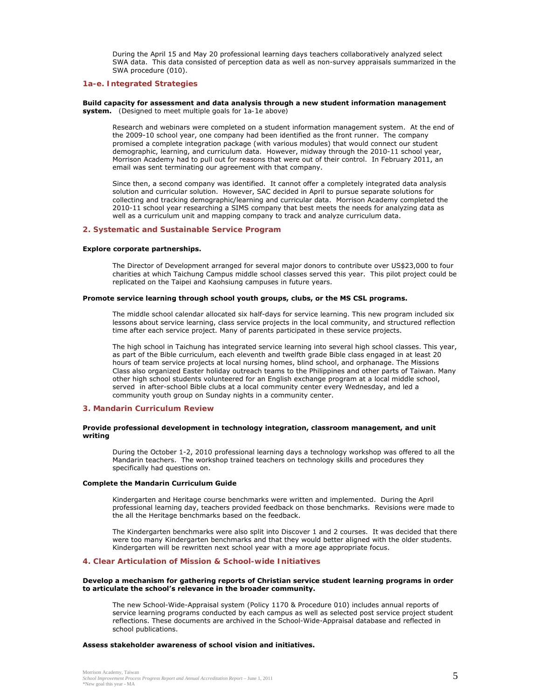During the April 15 and May 20 professional learning days teachers collaboratively analyzed select SWA data. This data consisted of perception data as well as non-survey appraisals summarized in the SWA procedure (010).

# *1a-e. Integrated Strategies*

#### **Build capacity for assessment and data analysis through a new student information management system.** *(Designed to meet multiple goals for 1a-1e above)*

Research and webinars were completed on a student information management system. At the end of the 2009-10 school year, one company had been identified as the front runner. The company promised a complete integration package (with various modules) that would connect our student demographic, learning, and curriculum data. However, midway through the 2010-11 school year, Morrison Academy had to pull out for reasons that were out of their control. In February 2011, an email was sent terminating our agreement with that company.

Since then, a second company was identified. It cannot offer a completely integrated data analysis solution and curricular solution. However, SAC decided in April to pursue separate solutions for collecting and tracking demographic/learning and curricular data. Morrison Academy completed the 2010-11 school year researching a SIMS company that best meets the needs for analyzing data as well as a curriculum unit and mapping company to track and analyze curriculum data.

#### *2. Systematic and Sustainable Service Program*

#### **Explore corporate partnerships.**

The Director of Development arranged for several major donors to contribute over US\$23,000 to four charities at which Taichung Campus middle school classes served this year. This pilot project could be replicated on the Taipei and Kaohsiung campuses in future years.

#### **Promote service learning through school youth groups, clubs, or the MS CSL programs.**

The middle school calendar allocated six half-days for service learning. This new program included six lessons about service learning, class service projects in the local community, and structured reflection time after each service project. Many of parents participated in these service projects.

The high school in Taichung has integrated service learning into several high school classes. This year, as part of the Bible curriculum, each eleventh and twelfth grade Bible class engaged in at least 20 hours of team service projects at local nursing homes, blind school, and orphanage. The Missions Class also organized Easter holiday outreach teams to the Philippines and other parts of Taiwan. Many other high school students volunteered for an English exchange program at a local middle school, served in after-school Bible clubs at a local community center every Wednesday, and led a community youth group on Sunday nights in a community center.

#### *3. Mandarin Curriculum Review*

#### **Provide professional development in technology integration, classroom management, and unit writing**

During the October 1-2, 2010 professional learning days a technology workshop was offered to all the Mandarin teachers. The workshop trained teachers on technology skills and procedures they specifically had questions on.

#### **Complete the Mandarin Curriculum Guide**

Kindergarten and Heritage course benchmarks were written and implemented. During the April professional learning day, teachers provided feedback on those benchmarks. Revisions were made to the all the Heritage benchmarks based on the feedback.

The Kindergarten benchmarks were also split into Discover 1 and 2 courses. It was decided that there were too many Kindergarten benchmarks and that they would better aligned with the older students. Kindergarten will be rewritten next school year with a more age appropriate focus.

#### *4. Clear Articulation of Mission & School-wide Initiatives*

#### **Develop a mechanism for gathering reports of Christian service student learning programs in order to articulate the school's relevance in the broader community.**

The new School-Wide-Appraisal system (Policy 1170 & Procedure 010) includes annual reports of service learning programs conducted by each campus as well as selected post service project student reflections. These documents are archived in the School-Wide-Appraisal database and reflected in school publications.

#### **Assess stakeholder awareness of school vision and initiatives.**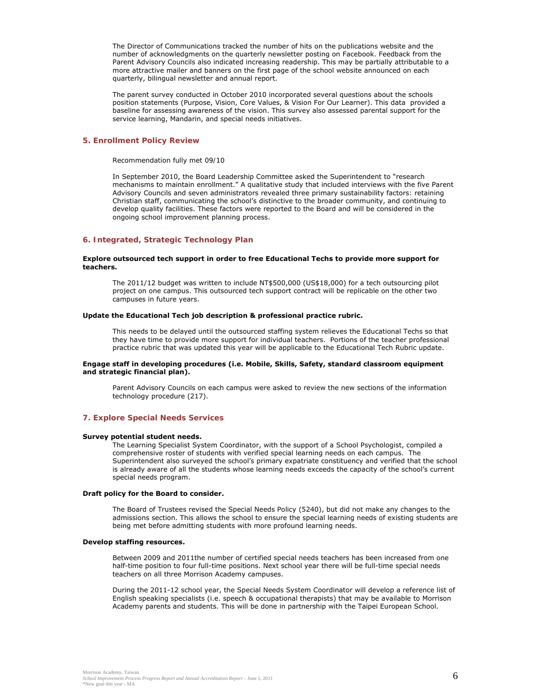The Director of Communications tracked the number of hits on the publications website and the number of acknowledgments on the quarterly newsletter posting on Facebook. Feedback from the Parent Advisory Councils also indicated increasing readership. This may be partially attributable to a more attractive mailer and banners on the first page of the school website announced on each quarterly, bilingual newsletter and annual report.

The parent survey conducted in October 2010 incorporated several questions about the schools position statements (Purpose, Vision, Core Values, & Vision For Our Learner). This data provided a baseline for assessing awareness of the vision. This survey also assessed parental support for the service learning, Mandarin, and special needs initiatives.

#### *5. Enrollment Policy Review*

#### *Recommendation fully met 09/10*

In September 2010, the Board Leadership Committee asked the Superintendent to "research mechanisms to maintain enrollment." A qualitative study that included interviews with the five Parent Advisory Councils and seven administrators revealed three primary sustainability factors: retaining Christian staff, communicating the school's distinctive to the broader community, and continuing to develop quality facilities. These factors were reported to the Board and will be considered in the ongoing school improvement planning process.

#### *6. Integrated, Strategic Technology Plan*

#### **Explore outsourced tech support in order to free Educational Techs to provide more support for teachers.**

The 2011/12 budget was written to include NT\$500,000 (US\$18,000) for a tech outsourcing pilot project on one campus. This outsourced tech support contract will be replicable on the other two campuses in future years.

#### **Update the Educational Tech job description & professional practice rubric.**

This needs to be delayed until the outsourced staffing system relieves the Educational Techs so that they have time to provide more support for individual teachers. Portions of the teacher professional practice rubric that was updated this year will be applicable to the Educational Tech Rubric update.

#### **Engage staff in developing procedures (i.e. Mobile, Skills, Safety, standard classroom equipment and strategic financial plan).**

Parent Advisory Councils on each campus were asked to review the new sections of the information technology procedure (217).

# *7. Explore Special Needs Services*

#### **Survey potential student needs.**

The Learning Specialist System Coordinator, with the support of a School Psychologist, compiled a comprehensive roster of students with verified special learning needs on each campus. The Superintendent also surveyed the school's primary expatriate constituency and verified that the school is already aware of all the students whose learning needs exceeds the capacity of the school's current special needs program.

#### **Draft policy for the Board to consider.**

The Board of Trustees revised the Special Needs Policy (5240), but did not make any changes to the admissions section. This allows the school to ensure the special learning needs of existing students are being met before admitting students with more profound learning needs.

#### **Develop staffing resources.**

Between 2009 and 2011the number of certified special needs teachers has been increased from one half-time position to four full-time positions. Next school year there will be full-time special needs teachers on all three Morrison Academy campuses.

During the 2011-12 school year, the Special Needs System Coordinator will develop a reference list of English speaking specialists (i.e. speech & occupational therapists) that may be available to Morrison Academy parents and students. This will be done in partnership with the Taipei European School.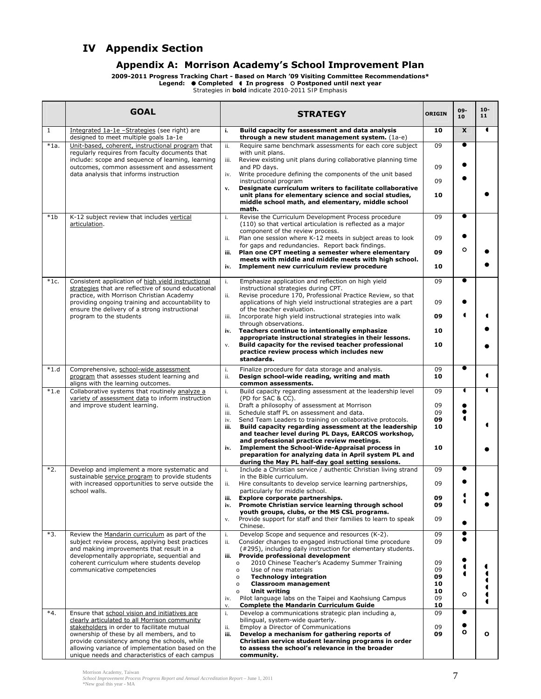# **IV Appendix Section**

# **Appendix A: Morrison Academy's School Improvement Plan**

**2009-2011 Progress Tracking Chart - Based on March '09 Visiting Committee Recommendations\*** 

**Legend: Completed In progress Postponed until next year**  *Strategies in bold indicate 2010-2011 SIP Emphasis* 

|              | <b>GOAL</b>                                                                                                                                            |                                           | <b>STRATEGY</b>                                                                                                                                                                                            | <b>ORIGIN</b> | 09-<br>10      | $10 -$<br>11 |
|--------------|--------------------------------------------------------------------------------------------------------------------------------------------------------|-------------------------------------------|------------------------------------------------------------------------------------------------------------------------------------------------------------------------------------------------------------|---------------|----------------|--------------|
| $\mathbf{1}$ | Integrated 1a-1e -Strategies (see right) are<br>designed to meet multiple goals 1a-1e                                                                  | i.                                        | Build capacity for assessment and data analysis<br>through a new student management system. (1a-e)                                                                                                         | 10            | $\mathbf{x}$   | T            |
| $*1a.$       | Unit-based, coherent, instructional program that<br>regularly requires from faculty documents that                                                     | ii.<br>with unit plans.                   | Require same benchmark assessments for each core subject                                                                                                                                                   | 09            | ●              |              |
|              | include: scope and sequence of learning, learning<br>outcomes, common assessment and assessment                                                        | iii.<br>and PD days.                      | Review existing unit plans during collaborative planning time                                                                                                                                              | 09            |                |              |
|              | data analysis that informs instruction                                                                                                                 | iv.<br>instructional program              | Write procedure defining the components of the unit based<br>Designate curriculum writers to facilitate collaborative                                                                                      | 09            |                |              |
|              |                                                                                                                                                        | $\mathbf{v}_\bullet$<br>math.             | unit plans for elementary science and social studies,<br>middle school math, and elementary, middle school                                                                                                 | 10            |                |              |
| $*1b$        | K-12 subject review that includes vertical<br>articulation.                                                                                            | i.                                        | Revise the Curriculum Development Process procedure<br>(110) so that vertical articulation is reflected as a major<br>component of the review process.                                                     | 09            | $\bullet$      |              |
|              |                                                                                                                                                        | ii.                                       | Plan one session where K-12 meets in subject areas to look<br>for gaps and redundancies. Report back findings.                                                                                             | 09            | Ο              |              |
|              |                                                                                                                                                        | iii.                                      | Plan one CPT meeting a semester where elementary<br>meets with middle and middle meets with high school.                                                                                                   | 09            |                |              |
|              |                                                                                                                                                        | iv.                                       | Implement new curriculum review procedure                                                                                                                                                                  | 10            | $\bullet$      |              |
| $*1c.$       | Consistent application of high yield instructional<br>strategies that are reflective of sound educational<br>practice, with Morrison Christian Academy | i.<br>ii.                                 | Emphasize application and reflection on high yield<br>instructional strategies during CPT.<br>Revise procedure 170, Professional Practice Review, so that                                                  | 09            |                |              |
|              | providing ongoing training and accountability to<br>ensure the delivery of a strong instructional<br>program to the students                           | iii.                                      | applications of high yield instructional strategies are a part<br>of the teacher evaluation.<br>Incorporate high yield instructional strategies into walk                                                  | 09<br>09      |                |              |
|              |                                                                                                                                                        | through observations.<br>iv.              | Teachers continue to intentionally emphasize                                                                                                                                                               | 10            |                |              |
|              |                                                                                                                                                        | v.<br>standards.                          | appropriate instructional strategies in their lessons.<br>Build capacity for the revised teacher professional<br>practice review process which includes new                                                | 10            |                |              |
| $*1.d$       | Comprehensive, school-wide assessment<br>program that assesses student learning and<br>aligns with the learning outcomes.                              | i.<br>ii.<br>common assessments.          | Finalize procedure for data storage and analysis.<br>Design school-wide reading, writing and math                                                                                                          | 09<br>10      | $\bullet$      |              |
| $*1.e$       | Collaborative systems that routinely analyze a<br>variety of assessment data to inform instruction                                                     | i.<br>(PD for SAC & CC).                  | Build capacity regarding assessment at the leadership level                                                                                                                                                | 09            | $\blacksquare$ |              |
|              | and improve student learning.                                                                                                                          | ii.<br>iii.                               | Draft a philosophy of assessment at Morrison<br>Schedule staff PL on assessment and data.                                                                                                                  | 09<br>09      |                |              |
|              |                                                                                                                                                        | iv.<br>iii.                               | Send Team Leaders to training on collaborative protocols.<br>Build capacity regarding assessment at the leadership<br>and teacher level during PL Days, EARCOS workshop,                                   | 09<br>10      |                |              |
|              |                                                                                                                                                        | iv.                                       | and professional practice review meetings.<br>Implement the School-Wide-Appraisal process in<br>preparation for analyzing data in April system PL and<br>during the May PL half-day goal setting sessions. | 10            |                |              |
| $*2.$        | Develop and implement a more systematic and<br>sustainable service program to provide students                                                         | i.<br>in the Bible curriculum.            | Include a Christian service / authentic Christian living strand                                                                                                                                            | 09            | $\bullet$      |              |
|              | with increased opportunities to serve outside the<br>school walls.                                                                                     | ii.                                       | Hire consultants to develop service learning partnerships,<br>particularly for middle school.                                                                                                              | 09            |                |              |
|              |                                                                                                                                                        | iii.<br>iv.                               | Explore corporate partnerships.<br>Promote Christian service learning through school<br>youth groups, clubs, or the MS CSL programs.                                                                       | 09<br>09      |                |              |
|              |                                                                                                                                                        | v.<br>Chinese.                            | Provide support for staff and their families to learn to speak                                                                                                                                             | 09            |                |              |
| *3.          | Review the Mandarin curriculum as part of the<br>subject review process, applying best practices<br>and making improvements that result in a           | i.<br>ii.                                 | Develop Scope and sequence and resources (K-2).<br>Consider changes to engaged instructional time procedure<br>(#295), including daily instruction for elementary students.                                | 09<br>09      | $\bullet$      |              |
|              | developmentally appropriate, sequential and<br>coherent curriculum where students develop                                                              | iii.<br>$\circ$                           | Provide professional development<br>2010 Chinese Teacher's Academy Summer Training                                                                                                                         | 09            |                |              |
|              | communicative competencies                                                                                                                             | $\circ$<br>$\circ$                        | Use of new materials<br><b>Technology integration</b>                                                                                                                                                      | 09<br>09      |                |              |
|              |                                                                                                                                                        | $\circ$<br><b>Unit writing</b><br>$\circ$ | <b>Classroom management</b>                                                                                                                                                                                | 10<br>10      | O              |              |
|              |                                                                                                                                                        | iv.<br>${\bf V}$ .                        | Pilot language labs on the Taipei and Kaohsiung Campus<br><b>Complete the Mandarin Curriculum Guide</b>                                                                                                    | 09<br>10      |                |              |
| $*4.$        | Ensure that school vision and initiatives are<br>clearly articulated to all Morrison community                                                         | i.                                        | Develop a communications strategic plan including a,<br>bilingual, system-wide quarterly.                                                                                                                  | 09            |                |              |
|              | stakeholders in order to facilitate mutual<br>ownership of these by all members, and to                                                                | ii.<br>iii.                               | Employ a Director of Communications<br>Develop a mechanism for gathering reports of                                                                                                                        | 09<br>09      | O              | $\mathbf{o}$ |
|              | provide consistency among the schools, while<br>allowing variance of implementation based on the<br>unique needs and characteristics of each campus    | community.                                | Christian service student learning programs in order<br>to assess the school's relevance in the broader                                                                                                    |               |                |              |

Morrison Academy, Taiwan<br>School Improvement Process Progress Report and Annual Accreditation Report – June 1, 2011<br>\*New goal this year - MA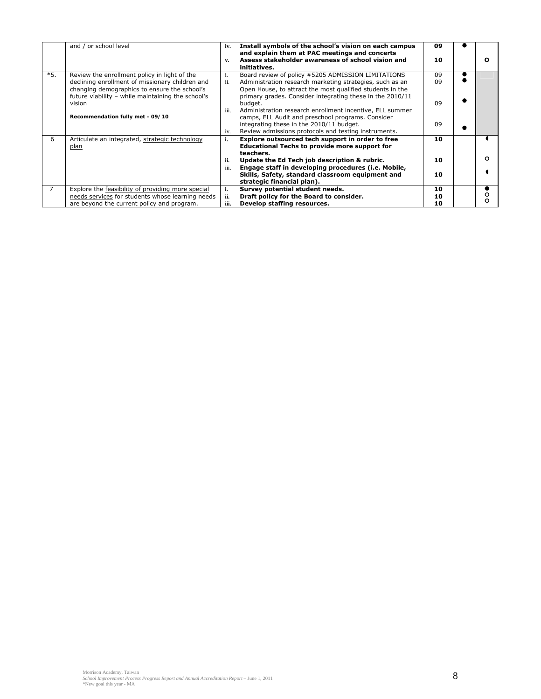|                | and / or school level                                                                                                                                | iv.  | Install symbols of the school's vision on each campus<br>and explain them at PAC meetings and concerts                                                                             | 09 |   |
|----------------|------------------------------------------------------------------------------------------------------------------------------------------------------|------|------------------------------------------------------------------------------------------------------------------------------------------------------------------------------------|----|---|
|                |                                                                                                                                                      | v.   | Assess stakeholder awareness of school vision and<br>initiatives.                                                                                                                  | 10 |   |
| $*5.$          | Review the enrollment policy in light of the                                                                                                         | 1.   | Board review of policy #5205 ADMISSION LIMITATIONS                                                                                                                                 | 09 |   |
|                | declining enrollment of missionary children and<br>changing demographics to ensure the school's<br>future viability - while maintaining the school's | ii.  | Administration research marketing strategies, such as an<br>Open House, to attract the most qualified students in the<br>primary grades. Consider integrating these in the 2010/11 | 09 |   |
|                | vision                                                                                                                                               | iii. | budget.<br>Administration research enrollment incentive, ELL summer                                                                                                                | 09 |   |
|                | Recommendation fully met - 09/10                                                                                                                     |      | camps, ELL Audit and preschool programs. Consider<br>integrating these in the 2010/11 budget.                                                                                      | 09 |   |
|                |                                                                                                                                                      | iv.  | Review admissions protocols and testing instruments.                                                                                                                               |    |   |
| 6              | Articulate an integrated, strategic technology<br>plan                                                                                               | i.   | Explore outsourced tech support in order to free<br><b>Educational Techs to provide more support for</b><br>teachers.                                                              | 10 |   |
|                |                                                                                                                                                      | ii.  | Update the Ed Tech job description & rubric.                                                                                                                                       | 10 | o |
|                |                                                                                                                                                      | iii. | Engage staff in developing procedures (i.e. Mobile,<br>Skills, Safety, standard classroom equipment and<br>strategic financial plan).                                              | 10 |   |
| $\overline{7}$ | Explore the feasibility of providing more special                                                                                                    | i.   | Survey potential student needs.                                                                                                                                                    | 10 |   |
|                | needs services for students whose learning needs                                                                                                     | ii.  | Draft policy for the Board to consider.                                                                                                                                            | 10 |   |
|                | are beyond the current policy and program.                                                                                                           | iii. | Develop staffing resources.                                                                                                                                                        | 10 |   |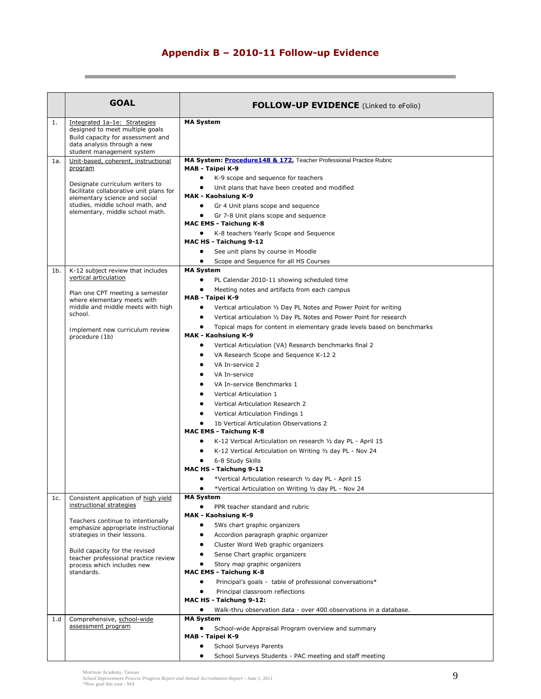# **Appendix B – 2010-11 Follow-up Evidence**

|     | <b>GOAL</b>                                                                                                                                                                        | <b>FOLLOW-UP EVIDENCE</b> (Linked to eFolio)                                                                                                                                                                                                                                                                                               |
|-----|------------------------------------------------------------------------------------------------------------------------------------------------------------------------------------|--------------------------------------------------------------------------------------------------------------------------------------------------------------------------------------------------------------------------------------------------------------------------------------------------------------------------------------------|
|     |                                                                                                                                                                                    |                                                                                                                                                                                                                                                                                                                                            |
| 1.  | Integrated 1a-1e: Strategies<br>designed to meet multiple goals<br>Build capacity for assessment and<br>data analysis through a new<br>student management system                   | <b>MA System</b>                                                                                                                                                                                                                                                                                                                           |
| 1a. | Unit-based, coherent, instructional<br>program                                                                                                                                     | MA System: Procedure148 & 172, Teacher Professional Practice Rubric<br>MAB - Taipei K-9                                                                                                                                                                                                                                                    |
|     | Designate curriculum writers to<br>facilitate collaborative unit plans for<br>elementary science and social<br>studies, middle school math, and<br>elementary, middle school math. | K-9 scope and sequence for teachers<br>Unit plans that have been created and modified<br>MAK - Kaohsiung K-9<br>Gr 4 Unit plans scope and sequence<br>Gr 7-8 Unit plans scope and sequence<br><b>MAC EMS - Taichung K-8</b><br>K-8 teachers Yearly Scope and Sequence<br>٠<br>MAC HS - Taichung 9-12<br>See unit plans by course in Moodle |
|     |                                                                                                                                                                                    | Scope and Sequence for all HS Courses<br>٠                                                                                                                                                                                                                                                                                                 |
| 1b. | K-12 subject review that includes<br>vertical articulation                                                                                                                         | <b>MA System</b><br>$\bullet$<br>PL Calendar 2010-11 showing scheduled time                                                                                                                                                                                                                                                                |
|     |                                                                                                                                                                                    | Meeting notes and artifacts from each campus                                                                                                                                                                                                                                                                                               |
|     | Plan one CPT meeting a semester<br>where elementary meets with                                                                                                                     | MAB - Taipei K-9                                                                                                                                                                                                                                                                                                                           |
|     | middle and middle meets with high<br>school.                                                                                                                                       | $\bullet$<br>Vertical articulation 1/2 Day PL Notes and Power Point for writing                                                                                                                                                                                                                                                            |
|     |                                                                                                                                                                                    | Vertical articulation 1/2 Day PL Notes and Power Point for research<br>٠                                                                                                                                                                                                                                                                   |
|     | Implement new curriculum review<br>procedure (1b)                                                                                                                                  | Topical maps for content in elementary grade levels based on benchmarks<br>MAK - Kaohsiung K-9                                                                                                                                                                                                                                             |
|     |                                                                                                                                                                                    | Vertical Articulation (VA) Research benchmarks final 2<br>٠                                                                                                                                                                                                                                                                                |
|     |                                                                                                                                                                                    | VA Research Scope and Sequence K-12 2                                                                                                                                                                                                                                                                                                      |
|     |                                                                                                                                                                                    | VA In-service 2                                                                                                                                                                                                                                                                                                                            |
|     |                                                                                                                                                                                    | VA In-service                                                                                                                                                                                                                                                                                                                              |
|     |                                                                                                                                                                                    | VA In-service Benchmarks 1                                                                                                                                                                                                                                                                                                                 |
|     |                                                                                                                                                                                    | Vertical Articulation 1<br>Vertical Articulation Research 2                                                                                                                                                                                                                                                                                |
|     |                                                                                                                                                                                    | Vertical Articulation Findings 1                                                                                                                                                                                                                                                                                                           |
|     |                                                                                                                                                                                    | 1b Vertical Articulation Observations 2                                                                                                                                                                                                                                                                                                    |
|     |                                                                                                                                                                                    | <b>MAC EMS - Taichung K-8</b>                                                                                                                                                                                                                                                                                                              |
|     |                                                                                                                                                                                    | K-12 Vertical Articulation on research 1/2 day PL - April 15                                                                                                                                                                                                                                                                               |
|     |                                                                                                                                                                                    | K-12 Vertical Articulation on Writing 1/2 day PL - Nov 24                                                                                                                                                                                                                                                                                  |
|     |                                                                                                                                                                                    | 6-8 Study Skills<br>MAC HS - Taichung 9-12                                                                                                                                                                                                                                                                                                 |
|     |                                                                                                                                                                                    | *Vertical Articulation research 1/2 day PL - April 15                                                                                                                                                                                                                                                                                      |
|     |                                                                                                                                                                                    | *Vertical Articulation on Writing 1/2 day PL - Nov 24                                                                                                                                                                                                                                                                                      |
| 1c. | Consistent application of high yield<br>instructional strategies                                                                                                                   | <b>MA System</b>                                                                                                                                                                                                                                                                                                                           |
|     |                                                                                                                                                                                    | PPR teacher standard and rubric<br>MAK - Kaohsiung K-9                                                                                                                                                                                                                                                                                     |
|     | Teachers continue to intentionally                                                                                                                                                 | $\bullet$<br>5Ws chart graphic organizers                                                                                                                                                                                                                                                                                                  |
|     | emphasize appropriate instructional<br>strategies in their lessons.                                                                                                                | $\bullet$<br>Accordion paragraph graphic organizer                                                                                                                                                                                                                                                                                         |
|     |                                                                                                                                                                                    | Cluster Word Web graphic organizers                                                                                                                                                                                                                                                                                                        |
|     | Build capacity for the revised<br>teacher professional practice review                                                                                                             | Sense Chart graphic organizers                                                                                                                                                                                                                                                                                                             |
|     | process which includes new<br>standards.                                                                                                                                           | Story map graphic organizers<br><b>MAC EMS - Taichung K-8</b>                                                                                                                                                                                                                                                                              |
|     |                                                                                                                                                                                    | Principal's goals - table of professional conversations*                                                                                                                                                                                                                                                                                   |
|     |                                                                                                                                                                                    | Principal classroom reflections                                                                                                                                                                                                                                                                                                            |
|     |                                                                                                                                                                                    | MAC HS - Taichung 9-12:                                                                                                                                                                                                                                                                                                                    |
|     |                                                                                                                                                                                    | Walk-thru observation data - over 400 observations in a database.<br>$\bullet$                                                                                                                                                                                                                                                             |
| 1.d | Comprehensive, school-wide<br>assessment program                                                                                                                                   | <b>MA System</b><br>School-wide Appraisal Program overview and summary                                                                                                                                                                                                                                                                     |
|     |                                                                                                                                                                                    | MAB - Taipei K-9                                                                                                                                                                                                                                                                                                                           |
|     |                                                                                                                                                                                    | <b>School Surveys Parents</b>                                                                                                                                                                                                                                                                                                              |
|     |                                                                                                                                                                                    | School Surveys Students - PAC meeting and staff meeting                                                                                                                                                                                                                                                                                    |

Morrison Academy, Taiwan<br>School Improvement Process Progress Report and Annual Accreditation Report – June 1, 2011<br>\*New goal this year - MA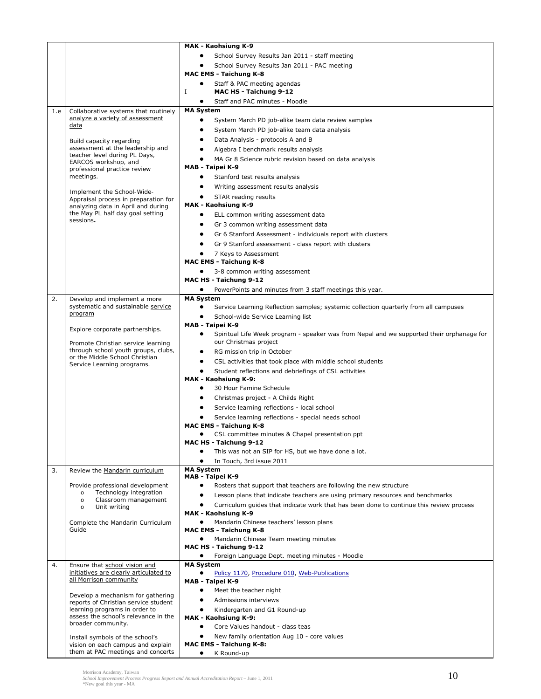|     |                                                                            | MAK - Kaohsiung K-9                                                                                             |
|-----|----------------------------------------------------------------------------|-----------------------------------------------------------------------------------------------------------------|
|     |                                                                            | School Survey Results Jan 2011 - staff meeting                                                                  |
|     |                                                                            | School Survey Results Jan 2011 - PAC meeting                                                                    |
|     |                                                                            | <b>MAC EMS - Taichung K-8</b>                                                                                   |
|     |                                                                            | Staff & PAC meeting agendas                                                                                     |
|     |                                                                            | Ι.<br>MAC HS - Taichung 9-12                                                                                    |
|     |                                                                            | Staff and PAC minutes - Moodle<br>٠                                                                             |
| 1.e | Collaborative systems that routinely                                       | <b>MA System</b>                                                                                                |
|     | analyze a variety of assessment                                            | System March PD job-alike team data review samples<br>٠                                                         |
|     | <u>data</u>                                                                | System March PD job-alike team data analysis                                                                    |
|     |                                                                            | Data Analysis - protocols A and B<br>٠                                                                          |
|     | <b>Build capacity regarding</b><br>assessment at the leadership and        | $\bullet$<br>Algebra I benchmark results analysis                                                               |
|     | teacher level during PL Days,                                              | MA Gr 8 Science rubric revision based on data analysis                                                          |
|     | EARCOS workshop, and                                                       | MAB - Taipei K-9                                                                                                |
|     | professional practice review<br>meetings.                                  | Stanford test results analysis<br>$\bullet$                                                                     |
|     |                                                                            | Writing assessment results analysis                                                                             |
|     | Implement the School-Wide-                                                 | STAR reading results<br>٠                                                                                       |
|     | Appraisal process in preparation for<br>analyzing data in April and during | MAK - Kaohsiung K-9                                                                                             |
|     | the May PL half day goal setting                                           | ELL common writing assessment data                                                                              |
|     | sessions.                                                                  |                                                                                                                 |
|     |                                                                            | Gr 3 common writing assessment data<br>Gr 6 Stanford Assessment - individuals report with clusters<br>$\bullet$ |
|     |                                                                            |                                                                                                                 |
|     |                                                                            | Gr 9 Stanford assessment - class report with clusters                                                           |
|     |                                                                            | 7 Keys to Assessment                                                                                            |
|     |                                                                            | <b>MAC EMS - Taichung K-8</b>                                                                                   |
|     |                                                                            | 3-8 common writing assessment<br>MAC HS - Taichung 9-12                                                         |
|     |                                                                            |                                                                                                                 |
|     |                                                                            | PowerPoints and minutes from 3 staff meetings this year.<br><b>MA System</b>                                    |
| 2.  | Develop and implement a more<br>systematic and sustainable service         | Service Learning Reflection samples; systemic collection quarterly from all campuses<br>٠                       |
|     | program                                                                    | School-wide Service Learning list                                                                               |
|     |                                                                            | MAB - Taipei K-9                                                                                                |
|     | Explore corporate partnerships.                                            | Spiritual Life Week program - speaker was from Nepal and we supported their orphanage for<br>٠                  |
|     | Promote Christian service learning                                         | our Christmas project                                                                                           |
|     | through school youth groups, clubs,                                        | RG mission trip in October<br>٠                                                                                 |
|     | or the Middle School Christian                                             | CSL activities that took place with middle school students<br>٠                                                 |
|     | Service Learning programs.                                                 | Student reflections and debriefings of CSL activities                                                           |
|     |                                                                            | MAK - Kaohsiung K-9:                                                                                            |
|     |                                                                            | 30 Hour Famine Schedule<br>٠                                                                                    |
|     |                                                                            | Christmas project - A Childs Right                                                                              |
|     |                                                                            | Service learning reflections - local school                                                                     |
|     |                                                                            | Service learning reflections - special needs school                                                             |
|     |                                                                            | <b>MAC EMS - Taichung K-8</b>                                                                                   |
|     |                                                                            | CSL committee minutes & Chapel presentation ppt                                                                 |
|     |                                                                            | MAC HS - Taichung 9-12                                                                                          |
|     |                                                                            | This was not an SIP for HS, but we have done a lot.                                                             |
|     |                                                                            | In Touch, 3rd issue 2011                                                                                        |
| 3.  | Review the Mandarin curriculum                                             | <b>MA System</b><br>MAB - Taipei K-9                                                                            |
|     | Provide professional development                                           | Rosters that support that teachers are following the new structure                                              |
|     | Technology integration<br>$\circ$                                          | Lesson plans that indicate teachers are using primary resources and benchmarks<br>٠                             |
|     | Classroom management<br>$\circ$                                            | Curriculum guides that indicate work that has been done to continue this review process                         |
|     | Unit writing<br>O                                                          | MAK - Kaohsiung K-9                                                                                             |
|     | Complete the Mandarin Curriculum                                           | Mandarin Chinese teachers' lesson plans<br>$\bullet$                                                            |
|     | Guide                                                                      | <b>MAC EMS - Taichung K-8</b>                                                                                   |
|     |                                                                            | Mandarin Chinese Team meeting minutes                                                                           |
|     |                                                                            | MAC HS - Taichung 9-12                                                                                          |
|     |                                                                            | Foreign Language Dept. meeting minutes - Moodle                                                                 |
| 4.  | Ensure that school vision and                                              | <b>MA System</b>                                                                                                |
|     | initiatives are clearly articulated to<br>all Morrison community           | Policy 1170, Procedure 010, Web-Publications<br>$\bullet$                                                       |
|     |                                                                            | MAB - Taipei K-9                                                                                                |
|     | Develop a mechanism for gathering                                          | $\bullet$<br>Meet the teacher night                                                                             |
|     | reports of Christian service student                                       | Admissions interviews<br>$\bullet$                                                                              |
|     | learning programs in order to<br>assess the school's relevance in the      | Kindergarten and G1 Round-up                                                                                    |
|     | broader community.                                                         | MAK - Kaohsiung K-9:<br>$\bullet$<br>Core Values handout - class teas                                           |
|     |                                                                            |                                                                                                                 |
|     | Install symbols of the school's<br>vision on each campus and explain       | New family orientation Aug 10 - core values<br><b>MAC EMS - Taichung K-8:</b>                                   |
|     | them at PAC meetings and concerts                                          | K Round-up<br>$\bullet$                                                                                         |

Morrison Academy, Taiwan<br>School Improvement Process Progress Report and Annual Accreditation Report – June 1, 2011<br>\*New goal this year - MA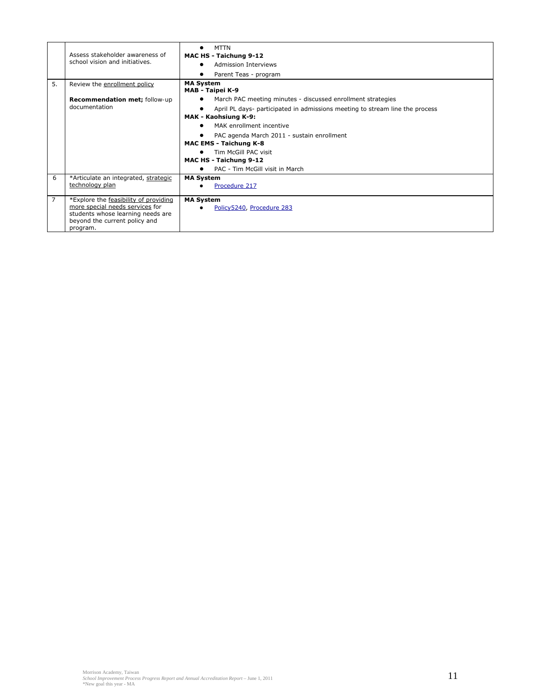|    | Assess stakeholder awareness of<br>school vision and initiatives.                                                                                          | <b>MTTN</b><br>MAC HS - Taichung 9-12<br><b>Admission Interviews</b><br>Parent Teas - program |
|----|------------------------------------------------------------------------------------------------------------------------------------------------------------|-----------------------------------------------------------------------------------------------|
| 5. | Review the enrollment policy                                                                                                                               | <b>MA System</b><br>MAB - Taipei K-9                                                          |
|    | <b>Recommendation met; follow-up</b>                                                                                                                       | March PAC meeting minutes - discussed enrollment strategies                                   |
|    | documentation                                                                                                                                              | April PL days- participated in admissions meeting to stream line the process                  |
|    |                                                                                                                                                            | MAK - Kaohsiung K-9:                                                                          |
|    |                                                                                                                                                            | MAK enrollment incentive                                                                      |
|    |                                                                                                                                                            | PAC agenda March 2011 - sustain enrollment                                                    |
|    |                                                                                                                                                            | <b>MAC EMS - Taichung K-8</b>                                                                 |
|    |                                                                                                                                                            | Tim McGill PAC visit                                                                          |
|    |                                                                                                                                                            | MAC HS - Taichung 9-12                                                                        |
|    |                                                                                                                                                            | PAC - Tim McGill visit in March                                                               |
| 6  | *Articulate an integrated, strategic                                                                                                                       | <b>MA System</b>                                                                              |
|    | technology plan                                                                                                                                            | Procedure 217                                                                                 |
| 7  | *Explore the feasibility of providing<br>more special needs services for<br>students whose learning needs are<br>beyond the current policy and<br>program. | <b>MA System</b><br>Policy5240, Procedure 283                                                 |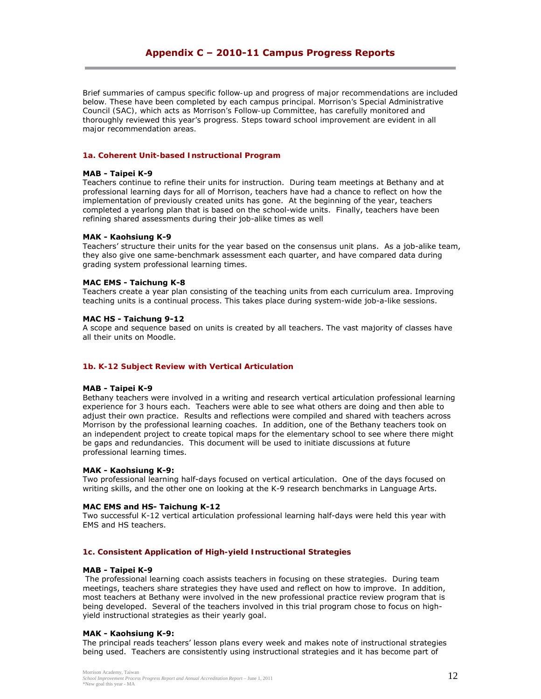# **Appendix C – 2010-11 Campus Progress Reports**

*Brief summaries of campus specific follow-up and progress of major recommendations are included below. These have been completed by each campus principal. Morrison's Special Administrative Council (SAC), which acts as Morrison's Follow-up Committee, has carefully monitored and thoroughly reviewed this year's progress. Steps toward school improvement are evident in all major recommendation areas.* 

# *1a. Coherent Unit-based Instructional Program*

#### **MAB - Taipei K-9**

Teachers continue to refine their units for instruction. During team meetings at Bethany and at professional learning days for all of Morrison, teachers have had a chance to reflect on how the implementation of previously created units has gone. At the beginning of the year, teachers completed a yearlong plan that is based on the school-wide units. Finally, teachers have been refining shared assessments during their job-alike times as well

# **MAK - Kaohsiung K-9**

Teachers' structure their units for the year based on the consensus unit plans. As a job-alike team, they also give one same-benchmark assessment each quarter, and have compared data during grading system professional learning times.

# **MAC EMS - Taichung K-8**

Teachers create a year plan consisting of the teaching units from each curriculum area. Improving teaching units is a continual process. This takes place during system-wide job-a-like sessions.

# **MAC HS - Taichung 9-12**

A scope and sequence based on units is created by all teachers. The vast majority of classes have all their units on Moodle.

#### *1b. K-12 Subject Review with Vertical Articulation*

#### **MAB - Taipei K-9**

Bethany teachers were involved in a writing and research vertical articulation professional learning experience for 3 hours each. Teachers were able to see what others are doing and then able to adjust their own practice. Results and reflections were compiled and shared with teachers across Morrison by the professional learning coaches. In addition, one of the Bethany teachers took on an independent project to create topical maps for the elementary school to see where there might be gaps and redundancies. This document will be used to initiate discussions at future professional learning times.

#### **MAK - Kaohsiung K-9:**

Two professional learning half-days focused on vertical articulation. One of the days focused on writing skills, and the other one on looking at the K-9 research benchmarks in Language Arts.

# **MAC EMS and HS- Taichung K-12**

Two successful K-12 vertical articulation professional learning half-days were held this year with EMS and HS teachers.

#### *1c. Consistent Application of High-yield Instructional Strategies*

#### **MAB - Taipei K-9**

 The professional learning coach assists teachers in focusing on these strategies. During team meetings, teachers share strategies they have used and reflect on how to improve. In addition, most teachers at Bethany were involved in the new professional practice review program that is being developed. Several of the teachers involved in this trial program chose to focus on highyield instructional strategies as their yearly goal.

# **MAK - Kaohsiung K-9:**

The principal reads teachers' lesson plans every week and makes note of instructional strategies being used. Teachers are consistently using instructional strategies and it has become part of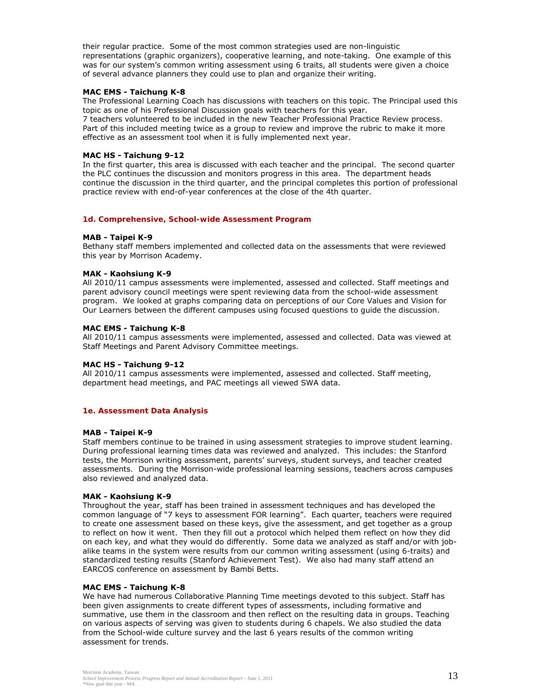their regular practice. Some of the most common strategies used are non-linguistic representations (graphic organizers), cooperative learning, and note-taking. One example of this was for our system's common writing assessment using 6 traits, all students were given a choice of several advance planners they could use to plan and organize their writing.

# **MAC EMS - Taichung K-8**

The Professional Learning Coach has discussions with teachers on this topic. The Principal used this topic as one of his Professional Discussion goals with teachers for this year.

7 teachers volunteered to be included in the new Teacher Professional Practice Review process. Part of this included meeting twice as a group to review and improve the rubric to make it more effective as an assessment tool when it is fully implemented next year.

# **MAC HS - Taichung 9-12**

In the first quarter, this area is discussed with each teacher and the principal. The second quarter the PLC continues the discussion and monitors progress in this area. The department heads continue the discussion in the third quarter, and the principal completes this portion of professional practice review with end-of-year conferences at the close of the 4th quarter.

#### *1d. Comprehensive, School-wide Assessment Program*

# **MAB - Taipei K-9**

Bethany staff members implemented and collected data on the assessments that were reviewed this year by Morrison Academy.

# **MAK - Kaohsiung K-9**

All 2010/11 campus assessments were implemented, assessed and collected. Staff meetings and parent advisory council meetings were spent reviewing data from the school-wide assessment program. We looked at graphs comparing data on perceptions of our Core Values and Vision for Our Learners between the different campuses using focused questions to guide the discussion.

# **MAC EMS - Taichung K-8**

All 2010/11 campus assessments were implemented, assessed and collected. Data was viewed at Staff Meetings and Parent Advisory Committee meetings.

#### **MAC HS - Taichung 9-12**

All 2010/11 campus assessments were implemented, assessed and collected. Staff meeting, department head meetings, and PAC meetings all viewed SWA data.

# *1e. Assessment Data Analysis*

#### **MAB - Taipei K-9**

Staff members continue to be trained in using assessment strategies to improve student learning. During professional learning times data was reviewed and analyzed. This includes: the Stanford tests, the Morrison writing assessment, parents' surveys, student surveys, and teacher created assessments. During the Morrison-wide professional learning sessions, teachers across campuses also reviewed and analyzed data.

#### **MAK - Kaohsiung K-9**

Throughout the year, staff has been trained in assessment techniques and has developed the common language of "7 keys to assessment FOR learning". Each quarter, teachers were required to create one assessment based on these keys, give the assessment, and get together as a group to reflect on how it went. Then they fill out a protocol which helped them reflect on how they did on each key, and what they would do differently. Some data we analyzed as staff and/or with jobalike teams in the system were results from our common writing assessment (using 6-traits) and standardized testing results (Stanford Achievement Test). We also had many staff attend an EARCOS conference on assessment by Bambi Betts.

#### **MAC EMS - Taichung K-8**

We have had numerous Collaborative Planning Time meetings devoted to this subject. Staff has been given assignments to create different types of assessments, including formative and summative, use them in the classroom and then reflect on the resulting data in groups. Teaching on various aspects of serving was given to students during 6 chapels. We also studied the data from the School-wide culture survey and the last 6 years results of the common writing assessment for trends.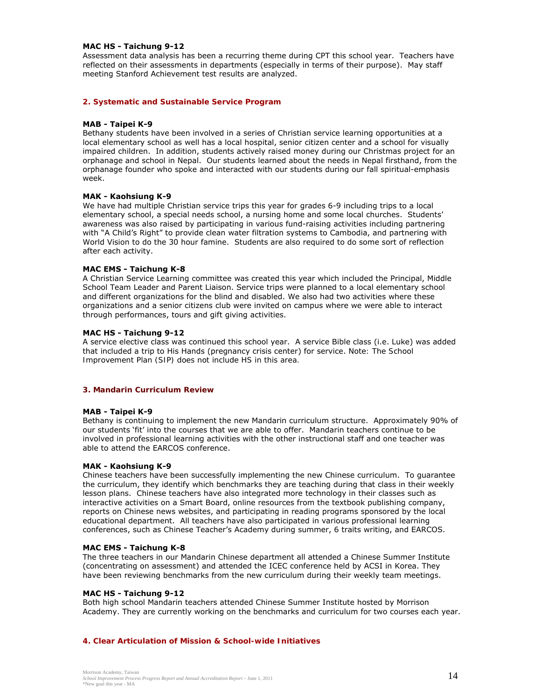# **MAC HS - Taichung 9-12**

Assessment data analysis has been a recurring theme during CPT this school year. Teachers have reflected on their assessments in departments (especially in terms of their purpose). May staff meeting Stanford Achievement test results are analyzed.

# *2. Systematic and Sustainable Service Program*

# **MAB - Taipei K-9**

Bethany students have been involved in a series of Christian service learning opportunities at a local elementary school as well has a local hospital, senior citizen center and a school for visually impaired children. In addition, students actively raised money during our Christmas project for an orphanage and school in Nepal. Our students learned about the needs in Nepal firsthand, from the orphanage founder who spoke and interacted with our students during our fall spiritual-emphasis week.

# **MAK - Kaohsiung K-9**

We have had multiple Christian service trips this year for grades 6-9 including trips to a local elementary school, a special needs school, a nursing home and some local churches. Students' awareness was also raised by participating in various fund-raising activities including partnering with "A Child's Right" to provide clean water filtration systems to Cambodia, and partnering with World Vision to do the 30 hour famine. Students are also required to do some sort of reflection after each activity.

# **MAC EMS - Taichung K-8**

A Christian Service Learning committee was created this year which included the Principal, Middle School Team Leader and Parent Liaison. Service trips were planned to a local elementary school and different organizations for the blind and disabled. We also had two activities where these organizations and a senior citizens club were invited on campus where we were able to interact through performances, tours and gift giving activities.

# **MAC HS - Taichung 9-12**

A service elective class was continued this school year. A service Bible class (i.e. Luke) was added that included a trip to His Hands (pregnancy crisis center) for service. *Note: The School Improvement Plan (SIP) does not include HS in this area.*

#### *3. Mandarin Curriculum Review*

#### **MAB - Taipei K-9**

Bethany is continuing to implement the new Mandarin curriculum structure. Approximately 90% of our students 'fit' into the courses that we are able to offer. Mandarin teachers continue to be involved in professional learning activities with the other instructional staff and one teacher was able to attend the EARCOS conference.

#### **MAK - Kaohsiung K-9**

Chinese teachers have been successfully implementing the new Chinese curriculum. To guarantee the curriculum, they identify which benchmarks they are teaching during that class in their weekly lesson plans. Chinese teachers have also integrated more technology in their classes such as interactive activities on a Smart Board, online resources from the textbook publishing company, reports on Chinese news websites, and participating in reading programs sponsored by the local educational department. All teachers have also participated in various professional learning conferences, such as Chinese Teacher's Academy during summer, 6 traits writing, and EARCOS.

#### **MAC EMS - Taichung K-8**

The three teachers in our Mandarin Chinese department all attended a Chinese Summer Institute (concentrating on assessment) and attended the ICEC conference held by ACSI in Korea. They have been reviewing benchmarks from the new curriculum during their weekly team meetings.

# **MAC HS - Taichung 9-12**

Both high school Mandarin teachers attended Chinese Summer Institute hosted by Morrison Academy. They are currently working on the benchmarks and curriculum for two courses each year.

#### *4. Clear Articulation of Mission & School-wide Initiatives*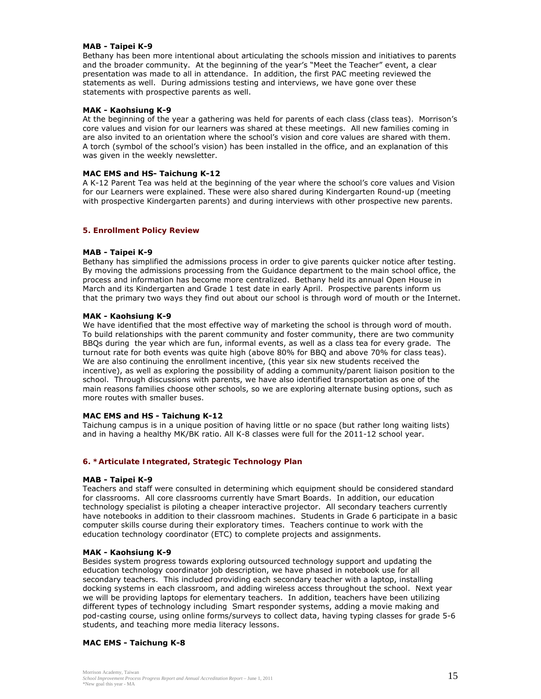# **MAB - Taipei K-9**

Bethany has been more intentional about articulating the schools mission and initiatives to parents and the broader community. At the beginning of the year's "Meet the Teacher" event, a clear presentation was made to all in attendance. In addition, the first PAC meeting reviewed the statements as well. During admissions testing and interviews, we have gone over these statements with prospective parents as well.

# **MAK - Kaohsiung K-9**

At the beginning of the year a gathering was held for parents of each class (class teas). Morrison's core values and vision for our learners was shared at these meetings. All new families coming in are also invited to an orientation where the school's vision and core values are shared with them. A torch (symbol of the school's vision) has been installed in the office, and an explanation of this was given in the weekly newsletter.

# **MAC EMS and HS- Taichung K-12**

A K-12 Parent Tea was held at the beginning of the year where the school's core values and Vision for our Learners were explained. These were also shared during Kindergarten Round-up (meeting with prospective Kindergarten parents) and during interviews with other prospective new parents.

# *5. Enrollment Policy Review*

# **MAB - Taipei K-9**

Bethany has simplified the admissions process in order to give parents quicker notice after testing. By moving the admissions processing from the Guidance department to the main school office, the process and information has become more centralized. Bethany held its annual Open House in March and its Kindergarten and Grade 1 test date in early April. Prospective parents inform us that the primary two ways they find out about our school is through word of mouth or the Internet.

# **MAK - Kaohsiung K-9**

We have identified that the most effective way of marketing the school is through word of mouth. To build relationships with the parent community and foster community, there are two community BBQs during the year which are fun, informal events, as well as a class tea for every grade. The turnout rate for both events was quite high (above 80% for BBQ and above 70% for class teas). We are also continuing the enrollment incentive, (this year six new students received the incentive), as well as exploring the possibility of adding a community/parent liaison position to the school. Through discussions with parents, we have also identified transportation as one of the main reasons families choose other schools, so we are exploring alternate busing options, such as more routes with smaller buses.

# **MAC EMS and HS - Taichung K-12**

Taichung campus is in a unique position of having little or no space (but rather long waiting lists) and in having a healthy MK/BK ratio. All K-8 classes were full for the 2011-12 school year.

# *6. \*Articulate Integrated, Strategic Technology Plan*

#### **MAB - Taipei K-9**

Teachers and staff were consulted in determining which equipment should be considered standard for classrooms. All core classrooms currently have Smart Boards. In addition, our education technology specialist is piloting a cheaper interactive projector. All secondary teachers currently have notebooks in addition to their classroom machines. Students in Grade 6 participate in a basic computer skills course during their exploratory times. Teachers continue to work with the education technology coordinator (ETC) to complete projects and assignments.

#### **MAK - Kaohsiung K-9**

Besides system progress towards exploring outsourced technology support and updating the education technology coordinator job description, we have phased in notebook use for all secondary teachers. This included providing each secondary teacher with a laptop, installing docking systems in each classroom, and adding wireless access throughout the school. Next year we will be providing laptops for elementary teachers. In addition, teachers have been utilizing different types of technology including Smart responder systems, adding a movie making and pod-casting course, using online forms/surveys to collect data, having typing classes for grade 5-6 students, and teaching more media literacy lessons.

# **MAC EMS - Taichung K-8**